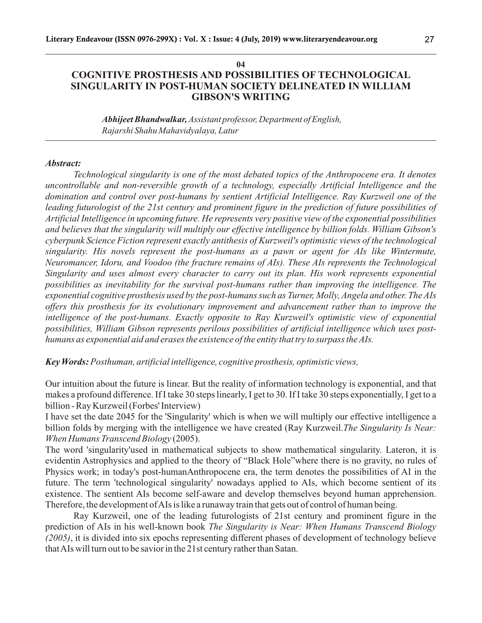#### **04**

## **COGNITIVE PROSTHESIS AND POSSIBILITIES OF TECHNOLOGICAL SINGULARITY IN POST-HUMAN SOCIETY DELINEATED IN WILLIAM GIBSON'S WRITING**

*Abhijeet Bhandwalkar, Assistant professor, Department of English, Rajarshi Shahu Mahavidyalaya, Latur*

### *Abstract:*

*Technological singularity is one of the most debated topics of the Anthropocene era. It denotes uncontrollable and non-reversible growth of a technology, especially Artificial Intelligence and the domination and control over post-humans by sentient Artificial Intelligence. Ray Kurzweil one of the leading futurologist of the 21st century and prominent figure in the prediction of future possibilities of Artificial Intelligence in upcoming future. He represents very positive view of the exponential possibilities and believes that the singularity will multiply our effective intelligence by billion folds. William Gibson's cyberpunk Science Fiction represent exactly antithesis of Kurzweil's optimistic views of the technological singularity. His novels represent the post-humans as a pawn or agent for AIs like Wintermute, Neuromancer, Idoru, and Voodoo (the fracture remains of AIs). These AIs represents the Technological Singularity and uses almost every character to carry out its plan. His work represents exponential possibilities as inevitability for the survival post-humans rather than improving the intelligence. The exponential cognitive prosthesis used by the post-humans such as Turner, Molly, Angela and other. The AIs offers this prosthesis for its evolutionary improvement and advancement rather than to improve the intelligence of the post-humans. Exactly opposite to Ray Kurzweil's optimistic view of exponential possibilities, William Gibson represents perilous possibilities of artificial intelligence which uses posthumans as exponential aid and erases the existence of the entity that try to surpass the AIs.*

*Key Words: Posthuman, artificial intelligence, cognitive prosthesis, optimistic views,* 

Our intuition about the future is linear. But the reality of information technology is exponential, and that makes a profound difference. If I take 30 steps linearly, I get to 30. If I take 30 steps exponentially, I get to a billion - Ray Kurzweil (Forbes' Interview)

I have set the date 2045 for the 'Singularity' which is when we will multiply our effective intelligence a billion folds by merging with the intelligence we have created (Ray Kurzweil.*The Singularity Is Near: When Humans Transcend Biology* (2005).

The word 'singularity'used in mathematical subjects to show mathematical singularity. Lateron, it is evidentin Astrophysics and applied to the theory of "Black Hole"where there is no gravity, no rules of Physics work; in today's post-humanAnthropocene era, the term denotes the possibilities of AI in the future. The term 'technological singularity' nowadays applied to AIs, which become sentient of its existence. The sentient AIs become self-aware and develop themselves beyond human apprehension. Therefore, the development of AIs is like a runaway train that gets out of control of human being.

Ray Kurzweil, one of the leading futurologists of 21st century and prominent figure in the prediction of AIs in his well-known book *The Singularity is Near: When Humans Transcend Biology (2005)*, it is divided into six epochs representing different phases of development of technology believe that AIs will turn out to be savior in the 21st century rather than Satan.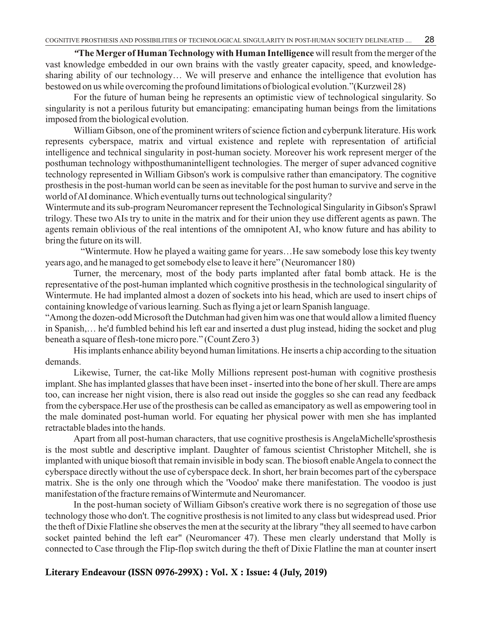*"***The Merger of Human Technology with Human Intelligence** will result from the merger of the vast knowledge embedded in our own brains with the vastly greater capacity, speed, and knowledgesharing ability of our technology… We will preserve and enhance the intelligence that evolution has bestowed on us while overcoming the profound limitations of biological evolution."(Kurzweil 28)

28

For the future of human being he represents an optimistic view of technological singularity. So singularity is not a perilous futurity but emancipating: emancipating human beings from the limitations imposed from the biological evolution.

William Gibson, one of the prominent writers of science fiction and cyberpunk literature. His work represents cyberspace, matrix and virtual existence and replete with representation of artificial intelligence and technical singularity in post-human society. Moreover his work represent merger of the posthuman technology withposthumanintelligent technologies. The merger of super advanced cognitive technology represented in William Gibson's work is compulsive rather than emancipatory. The cognitive prosthesis in the post-human world can be seen as inevitable for the post human to survive and serve in the world of AI dominance. Which eventually turns out technological singularity?

Wintermute and its sub-program Neuromancer represent the Technological Singularity in Gibson's Sprawl trilogy. These two AIs try to unite in the matrix and for their union they use different agents as pawn. The agents remain oblivious of the real intentions of the omnipotent AI, who know future and has ability to bring the future on its will.

"Wintermute. How he played a waiting game for years…He saw somebody lose this key twenty years ago, and he managed to get somebody else to leave it here" (Neuromancer 180)

Turner, the mercenary, most of the body parts implanted after fatal bomb attack. He is the representative of the post-human implanted which cognitive prosthesis in the technological singularity of Wintermute. He had implanted almost a dozen of sockets into his head, which are used to insert chips of containing knowledge of various learning. Such as flying a jet or learn Spanish language.

"Among the dozen-odd Microsoft the Dutchman had given him was one that would allow a limited fluency in Spanish,… he'd fumbled behind his left ear and inserted a dust plug instead, hiding the socket and plug beneath a square of flesh-tone micro pore." (Count Zero 3)

His implants enhance ability beyond human limitations. He inserts a chip according to the situation demands.

Likewise, Turner, the cat-like Molly Millions represent post-human with cognitive prosthesis implant. She has implanted glasses that have been inset - inserted into the bone of her skull. There are amps too, can increase her night vision, there is also read out inside the goggles so she can read any feedback from the cyberspace.Her use of the prosthesis can be called as emancipatory as well as empowering tool in the male dominated post-human world. For equating her physical power with men she has implanted retractable blades into the hands.

Apart from all post-human characters, that use cognitive prosthesis is AngelaMichelle'sprosthesis is the most subtle and descriptive implant. Daughter of famous scientist Christopher Mitchell, she is implanted with unique biosoft that remain invisible in body scan. The biosoft enable Angela to connect the cyberspace directly without the use of cyberspace deck. In short, her brain becomes part of the cyberspace matrix. She is the only one through which the 'Voodoo' make there manifestation. The voodoo is just manifestation of the fracture remains of Wintermute and Neuromancer.

In the post-human society of William Gibson's creative work there is no segregation of those use technology those who don't. The cognitive prosthesis is not limited to any class but widespread used. Prior the theft of Dixie Flatline she observes the men at the security at the library "they all seemed to have carbon socket painted behind the left ear" (Neuromancer 47). These men clearly understand that Molly is connected to Case through the Flip-flop switch during the theft of Dixie Flatline the man at counter insert

## **Literary Endeavour (ISSN 0976-299X) : Vol. X : Issue: 4 (July, 2019)**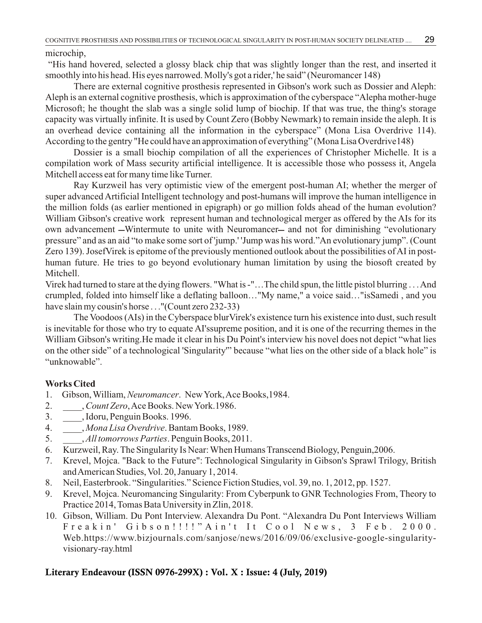microchip,

"His hand hovered, selected a glossy black chip that was slightly longer than the rest, and inserted it smoothly into his head. His eyes narrowed. Molly's got a rider,' he said" (Neuromancer 148)

29

There are external cognitive prosthesis represented in Gibson's work such as Dossier and Aleph: Aleph is an external cognitive prosthesis, which is approximation of the cyberspace "Alepha mother-huge Microsoft; he thought the slab was a single solid lump of biochip. If that was true, the thing's storage capacity was virtually infinite. It is used by Count Zero (Bobby Newmark) to remain inside the aleph. It is an overhead device containing all the information in the cyberspace" (Mona Lisa Overdrive 114). According to the gentry "He could have an approximation of everything" (Mona Lisa Overdrive148)

Dossier is a small biochip compilation of all the experiences of Christopher Michelle. It is a compilation work of Mass security artificial intelligence. It is accessible those who possess it, Angela Mitchell access eat for many time like Turner.

Ray Kurzweil has very optimistic view of the emergent post-human AI; whether the merger of super advanced Artificial Intelligent technology and post-humans will improve the human intelligence in the million folds (as earlier mentioned in epigraph) or go million folds ahead of the human evolution? William Gibson's creative work represent human and technological merger as offered by the AIs for its own advancement —Wintermute to unite with Neuromancer— and not for diminishing "evolutionary pressure" and as an aid "to make some sort of 'jump.' 'Jump was his word."An evolutionary jump". (Count Zero 139). JosefVirek is epitome of the previously mentioned outlook about the possibilities of AI in posthuman future. He tries to go beyond evolutionary human limitation by using the biosoft created by Mitchell.

Virek had turned to stare at the dying flowers. "What is -"…The child spun, the little pistol blurring . . . And crumpled, folded into himself like a deflating balloon…"My name," a voice said…"isSamedi , and you have slain my cousin's horse . . . "(Count zero 232-33)

The Voodoos (AIs) in the Cyberspace blurVirek's existence turn his existence into dust, such result is inevitable for those who try to equate AI'ssupreme position, and it is one of the recurring themes in the William Gibson's writing.He made it clear in his Du Point's interview his novel does not depict "what lies on the other side" of a technological 'Singularity'" because "what lies on the other side of a black hole" is "unknowable".

# **Works Cited**

- 1. Gibson, William, *Neuromancer*. New York, Ace Books,1984.
- 2. \_\_\_\_, *Count Zero*, Ace Books. New York.1986.
- 3. \_\_\_\_, Idoru, Penguin Books. 1996.
- 4. \_\_\_\_, *Mona Lisa Overdrive*. Bantam Books, 1989.
- 5. \_\_\_\_, *All tomorrows Parties*. Penguin Books, 2011.
- 6. Kurzweil, Ray. The Singularity Is Near: When Humans Transcend Biology, Penguin,2006.
- 7. Krevel, Mojca. "Back to the Future": Technological Singularity in Gibson's Sprawl Trilogy, British and American Studies, Vol. 20, January 1, 2014.
- 8. Neil, Easterbrook. "Singularities." Science Fiction Studies, vol. 39, no. 1, 2012, pp. 1527.
- 9. Krevel, Mojca. Neuromancing Singularity: From Cyberpunk to GNR Technologies From, Theory to Practice 2014, Tomas Bata University in Zlin, 2018.
- 10. Gibson, William. Du Pont Interview. Alexandra Du Pont. "Alexandra Du Pont Interviews William Freakin' Gibson!!!!"Ain't It Cool News, 3 Feb. 2000. Web.https://www.bizjournals.com/sanjose/news/2016/09/06/exclusive-google-singularityvisionary-ray.html

# **Literary Endeavour (ISSN 0976-299X) : Vol. X : Issue: 4 (July, 2019)**